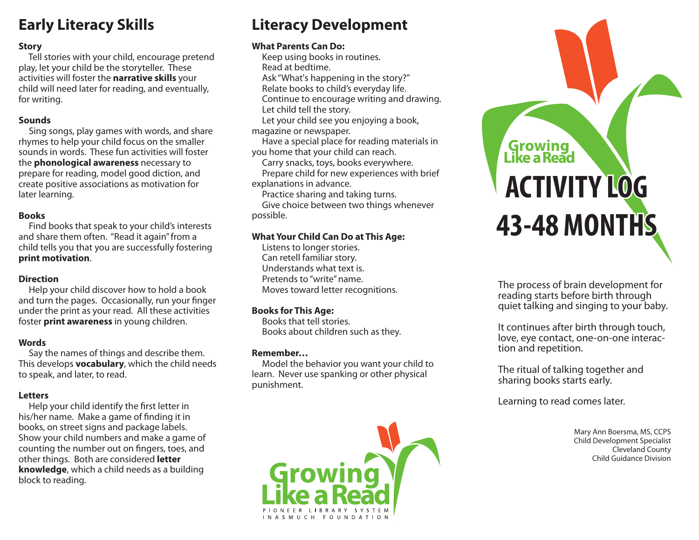## **Early Literacy Skills**

## **Story**

 Tell stories with your child, encourage pretend play, let your child be the storyteller. These activities will foster the **narrative skills** your child will need later for reading, and eventually, for writing.

#### **Sounds**

 Sing songs, play games with words, and share rhymes to help your child focus on the smaller sounds in words. These fun activities will foster the **phonological awareness** necessary to prepare for reading, model good diction, and create positive associations as motivation for later learning.

## **Books**

 Find books that speak to your child's interests and share them often. "Read it again" from a child tells you that you are successfully fostering **print motivation**.

## **Direction**

 Help your child discover how to hold a book and turn the pages. Occasionally, run your finger under the print as your read. All these activities foster **print awareness** in young children.

## **Words**

 Say the names of things and describe them. This develops **vocabulary**, which the child needs to speak, and later, to read.

## **Letters**

Help your child identify the first letter in his/her name. Make a game of finding it in books, on street signs and package labels. Show your child numbers and make a game of counting the number out on fingers, toes, and other things. Both are considered **letter knowledge**, which a child needs as a building block to reading.

## **Literacy Development**

## **What Parents Can Do:**

 Keep using books in routines. Read at bedtime.

 Ask "What's happening in the story?" Relate books to child's everyday life.

Continue to encourage writing and drawing.

Let child tell the story.

 Let your child see you enjoying a book, magazine or newspaper.

 Have a special place for reading materials in you home that your child can reach.

Carry snacks, toys, books everywhere.

 Prepare child for new experiences with brief explanations in advance.

Practice sharing and taking turns.

 Give choice between two things whenever possible.

## **What Your Child Can Do at This Age:**

 Listens to longer stories. Can retell familiar story. Understands what text is. Pretends to "write" name. Moves toward letter recognitions.

## **Books for This Age:**

 Books that tell stories. Books about children such as they.

## **Remember…**

 Model the behavior you want your child to learn. Never use spanking or other physical punishment.



# **Growing**<br>Like a Read **ACTIVITY LOG 43-48 MONTHS**

The process of brain development for reading starts before birth through quiet talking and singing to your baby.

It continues after birth through touch, love, eye contact, one-on-one interaction and repetition.

The ritual of talking together and sharing books starts early.

Learning to read comes later.

Mary Ann Boersma, MS, CCPS Child Development Specialist Cleveland County Child Guidance Division